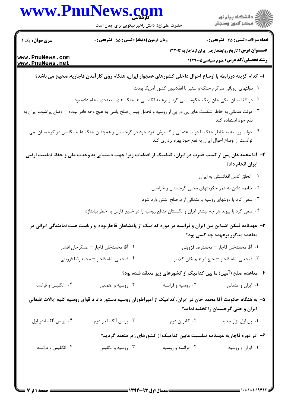## www.PnuNews.com

.<br>گ دانشگاه پیام نو**ر** أأزاتهم مركز آزمون وسنجش

حضرت علی(ع): دانش راهبر نیکویی برای ایمان است

زمان آزمون (دقيقه) : تستى : 55 ٪ تشريحي : 0

سری سوال : یک ۱

**تعداد سوالات : تستی : 45 گشریحی : 0** 

**رشته تحصیلی/کد درس:** علوم سیاسی1۲۲۹۰۰۵

عنـــوان درس: تاریخ روابطخارجی ایران ازقاجاریه تا۲۲۰۲

www.PnuNews.com www.PnuNews.net

- ا– کدام گزینه دررابطه با اوضاع احوال داخلی کشورهای همجوار ایران، هنگام روی کارآمدن قاجاریه،صحیح می باشد؟
	- ۰۱ دولتهای اروپائی سرگرم جنگ و ستیز با انقلابیون کشور آمریکا بودند
	- ۲ . در افغانستان بیگی جان ازبک حکومت می کرد و برعلیه انگلیسی ها جنگ های متعددی انجام داده بود
- ۰۳ دولت عثمانی به خاطر شکست های پی در پی از روسیه و تحمل پیمان صلح یاسی به هیچ وجه قادر نبوده از اوضاع پرآشوب ایران به نفع خود استفاده کند
	- ۰۴ دولت روسیه به خاطر جنگ با دولت عثمانی و گسترش نفوذ خود در گرجستان و همچنین جنگ علیه انگلیس در گرجستان نمی توانست از اوضاع احوال ایران به نفع خود بهره برداری کند
	- ۲– آقا محمدخان پس از کسب قدرت در ایران، کدامیک از اقدامات زیرا جهت دستیابی به وحدت ملی و حفظ تمامیت ارضی ایران انجام داد؟
		- ٠١. الحاق كامل افغانستان به ايران
		- ۲. خاتمه دادن به عمر حکومتهای محلی گرجستان و خراسان
		- ۰۳ سعی کرد با دولتهای روسیه و عثمانی از درصلح آشتی وارد شود
		- ۰۴ سعی کرد با پیوند هر چه بیشتر ایران و انگلستان منافع روسیه را در خلیج فارس به خطر بیاندازد
		- ۳– عهدنامه فیکن اشتاین بین ایران و فرانسه در دوره کدامیک از پادشاهان قاجاربوده و ریاست هیت نمایندگی ایرانی در معاهده مذکور برعهده چه کسی بود؟
			- ٢٠. آقا محمدخان قاجار عسگرخان افشار ٠١. آقا محمدخان قاجار – محمدرضا قزويني ۰۴ فتحعلي شاه قاجار – محمدرضا قزويني ۰۳ فتحعلي شاه قاجار – حاج ابراهيم خان كلانتر

## ۴- معاهده صلح (آمین) ما بین کدامیک از کشورهای زیر منعقد شده بود؟

۰۴ انگلیس و فرانسه ۰۱ ایران و عثمانی ۰۳ روسیه و عثمانی ۰۲ روسیه و فرانسه

۵– به هنگام حکومت آقا محمد خان در ایران، کدامیک از امپراطوران روسیه دستور داد تا قوای روسیه کلیه ایالات اشغالی ایران و حتی گرجستان را تخلیه نماید؟

- ۰۴ پرنس آلکساندر اول ۰۳ پرنس آلکساندر دوم ۰۲ کاترین دوم ۰۱ پل اول تزار جدید
	- ۶– در دوره قاجاریه عهدنامه تیلسیت مابین کدامیک از کشورهای زیر منعقد گردید؟
	- ۰۴ انگلیس و فرانسه ۰۱ ایران و روسیه ۰۳ روسیه و انگلیس ۰۲ فرانسه و روسیه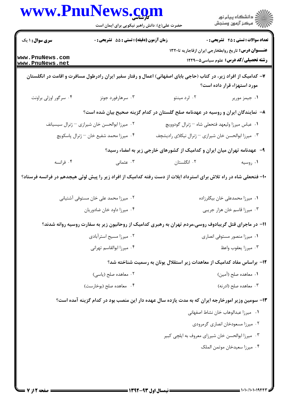|                                    | حضرت علی(ع): دانش راهبر نیکویی برای ایمان است                                                                      |                                                                                   | ڪ دانشڪاه پيا <sub>م</sub> نور<br>∕ِ <i>"مرڪز</i> آزمون وسنڊش                                              |
|------------------------------------|--------------------------------------------------------------------------------------------------------------------|-----------------------------------------------------------------------------------|------------------------------------------------------------------------------------------------------------|
| <b>سری سوال :</b> ۱ یک             | زمان آزمون (دقیقه) : تستی : 55 آتشریحی : 0                                                                         |                                                                                   | <b>تعداد سوالات : تستي : 45 - تشريحي : 0</b>                                                               |
| www.PnuNews.com<br>www.PnuNews.net |                                                                                                                    |                                                                                   | <b>عنـــوان درس:</b> تاریخ روابطخارجی ایران ازقاجاریه تا۲۲۰<br><b>رشته تحصیلی/کد درس:</b> علوم سیاسی5۲۲۹۰۰ |
|                                    | ۷– کدامیک از افراد زیر، در کتاب (حاجی بابای اصفهانی) اعمال و رفتار سفیر ایران رادرطول مسافرت و اقامت در انگلستان   |                                                                                   | مورد استهزاء قرار داده است؟                                                                                |
| ۰۴ سرگور اوزلی براونت              | ۰۳ سرهارفورد جونز                                                                                                  | ۰۲ لرد مینتو                                                                      | ۰۱ جیمز موریر                                                                                              |
|                                    |                                                                                                                    | ۸– نمایندگان ایران و روسیه در عهدنامه صلح گلستان در کدام گزینه صحیح بیان شده است؟ |                                                                                                            |
|                                    | ۰۲ میرزا ابوالحسن خان شیرازی – ژنرال سیسیانف                                                                       | ٠١ عباس ميرزا وليعهد فتحعلي شاه – ژنرال گودوويچ                                   |                                                                                                            |
|                                    | ۰۴ میرزا محمد شفیع خان <sup>—</sup> ژنرال پاسکویچ                                                                  | ۰۳ میرزا ابوالحسن خان شیرازی – ژنرال نیکلای رادیشچف                               |                                                                                                            |
|                                    |                                                                                                                    | ۹- عهدنامه تهران میان ایران و کدامیک از کشورهای خارجی زیر به امضاء رسید؟          |                                                                                                            |
| ۰۴ فرانسه                          | ۰۳ عثمانی                                                                                                          | ۰۲ انگلستان                                                                       | ۰۱ روسیه                                                                                                   |
|                                    | ۱۰- فتحعلی شاه در راه تلاش برای استرداد ایلات از دست رفته کدامیک از افراد زیر را پیش لوئی هیجدهم در فرانسه فرستاد؟ |                                                                                   |                                                                                                            |
|                                    | ۰۲ میرزا محمد علی خان مستوفی آشتیانی                                                                               |                                                                                   | ۰۱ میرزا محمدعلی خان بیگلرزاده                                                                             |
|                                    | ۰۴ میرزا داود خان ضادوریان                                                                                         |                                                                                   | ۰۳ میرزا قاسم خان هزار جریبی                                                                               |
|                                    | 1۱– در ماجرای قتل گریبادوف روسی،مردم تهران به رهبری کدامیک از روحانیون زیر به سفارت روسیه روانه شدند؟              |                                                                                   |                                                                                                            |
|                                    | ۰۲ میرزا مسیح استرآبادی                                                                                            |                                                                                   | ۰۱ میرزا منصور مستوفی انصاری                                                                               |
|                                    | ۰۴ میرزا ابوالقاسم تهرانی                                                                                          |                                                                                   | ٠٣ ميرزا يعقوب واعظ                                                                                        |
|                                    |                                                                                                                    | ۱۲– براساس مفاد کدامیک از معاهدات زیر استقلال یونان به رسمیت شناخته شد؟           |                                                                                                            |
|                                    | ۰۲ معاهده صلح (یاسی)                                                                                               |                                                                                   | ٠١. معاهده صلح (آمين)                                                                                      |
|                                    | ۰۴ معاهده صلح (بوخارست)                                                                                            |                                                                                   | ۰۳ معاهده صلح (ادرنه)                                                                                      |
|                                    | ۱۳– سومین وزیر امورخارجه ایران که به مدت یازده سال عهده دار این منصب بود در کدام گزینه آمده است؟                   |                                                                                   |                                                                                                            |
|                                    |                                                                                                                    |                                                                                   | ٠١ ميرزا عبدالوهاب خان نشاط اصفهاني                                                                        |
|                                    |                                                                                                                    |                                                                                   | ۰۲ میرزا مسعودخان انصاری گرمرودی                                                                           |
|                                    |                                                                                                                    |                                                                                   |                                                                                                            |
|                                    |                                                                                                                    |                                                                                   | ۰۳ میرزا ابوالحسن خان شیرزای معروف به ایلچی کبیر                                                           |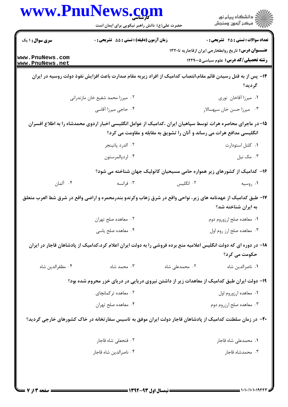|                                    | www.PnuNews.com<br>حضرت علی(ع): دانش راهبر نیکویی برای ایمان است                                                  |                                                                        | ڪ دانشڪاه پيام نور<br>ر∕ مرڪز آزمون وسنڊش                                                                    |
|------------------------------------|-------------------------------------------------------------------------------------------------------------------|------------------------------------------------------------------------|--------------------------------------------------------------------------------------------------------------|
| سری سوال : ۱ یک                    | زمان آزمون (دقیقه) : تستی : 55 گشریحی : 0                                                                         |                                                                        | <b>تعداد سوالات : تستي : 45 - تشريحي : 0</b>                                                                 |
| www.PnuNews.com<br>www.PnuNews.net |                                                                                                                   |                                                                        | <b>عنـــوان درس:</b> تاریخ روابطخارجی ایران ازقاجاریه تا۱۳۲۰<br><b>رشته تحصیلی/کد درس:</b> علوم سیاسی1۲۲۹۰۰۵ |
|                                    | ۱۴– پس از به قتل رسیدن قائم مقام،انتصاب کدامیک از افراد زیربه مقام صدارت باعث افزایش نفوذ دولت روسیه در ایران     |                                                                        | گرديد؟                                                                                                       |
|                                    | ۰۲ میرزا محمد شفیع خان مازندرانی                                                                                  |                                                                        | ٠١ ميرزا أقاخان نوري                                                                                         |
|                                    | ۰۴ حاجی میرزا آقاسی                                                                                               |                                                                        | ۰۳ میرزا حسن خان سپهسالار                                                                                    |
|                                    | ۱۵– در ماجرای محاصره هرات توسط سپاهیان ایران ،کدامیک از عوامل انگلیسی اخبار اردوی محمدشاه را به اطلاع افسران      |                                                                        |                                                                                                              |
|                                    |                                                                                                                   | انگلیسی مدافع هرات می رساند و آنان را تشویق به مقابله و مقاومت می کرد؟ |                                                                                                              |
|                                    | ٠٢ الدرد پاتينجر                                                                                                  |                                                                        | ٠١ كلنل استودارت                                                                                             |
|                                    | ۰۴ لردپالمرستون                                                                                                   |                                                                        | ۰۳ مک نیل                                                                                                    |
|                                    |                                                                                                                   |                                                                        | ۱۶– کدامیک از کشورهای زیر همواره حامی مسیحیان کاتولیک جهان شناخته می شود؟                                    |
| ۰۴ آلمان                           | ۰۳ فرانسه                                                                                                         | ۰۲ انگلیس                                                              | ۰۱ روسیه                                                                                                     |
|                                    | ۱۷– طبق کدامیک از عهدنامه های زیر، نواحی واقع در شرق زهاب وکرندو بندرمحمره و اراضی واقع در شرق شط العرب متعلق     |                                                                        | به ایران شناخته شد؟                                                                                          |
|                                    | ۰۲ معاهده صلح تهران                                                                                               |                                                                        | ۰۱ معاهده صلح ارزوروم دوم                                                                                    |
|                                    | ۰۴ معاهده صلح یاسی                                                                                                |                                                                        | ۰۳ معاهده صلح ارز روم اول                                                                                    |
|                                    | ۱۸– در دوره ای که دولت انگلیس اعلامیه منع برده فروشی را به دولت ایران اعلام کرد،کدامیک از پادشاهان قاجار در ایران |                                                                        |                                                                                                              |
| ۰۴ مظفرالدين شاه                   | ۰۳ محمد شاه                                                                                                       | ۰۲ محمدعلی شاه                                                         | حکومت م <i>ی</i> کرد؟<br>٠١ ناصرالدين شاه                                                                    |
|                                    |                                                                                                                   |                                                                        |                                                                                                              |
|                                    | ۱۹- دولت ایران طبق کدامیک از معاهدات زیر از داشتن نیروی دریایی در دریای خزر محروم شده بود؟                        |                                                                        |                                                                                                              |
|                                    | ۰۲ معاهده ترکمانچای                                                                                               |                                                                        | ٠١. معاهده ارزوروم اول                                                                                       |
|                                    | ۰۴ معاهده صلح تهران                                                                                               |                                                                        | ۰۳ معاهده صلح ارزروم دوم                                                                                     |
|                                    | +۲- در زمان سلطنت کدامیک از پادشاهان قاجار دولت ایران موفق به تاسیس سفارتخانه در خاک کشورهای خارجی گردید؟         |                                                                        |                                                                                                              |
|                                    | ۰۲ فتحعلی شاه قاجار                                                                                               |                                                                        | ٠١ محمدعلى شاه قاجار                                                                                         |
|                                    | ۰۴ ناصرالدين شاه قاجار                                                                                            |                                                                        | ۰۳ محمدشاه قاجار                                                                                             |
|                                    |                                                                                                                   |                                                                        |                                                                                                              |
|                                    |                                                                                                                   |                                                                        |                                                                                                              |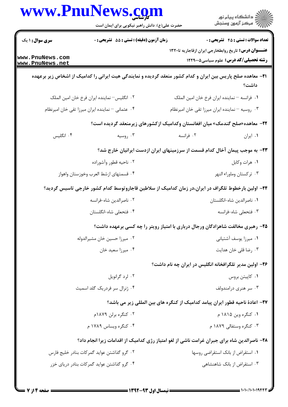|                                    | www.PnuNews.com<br>حضرت علی(ع): دانش راهبر نیکویی برای ایمان است | ≦ دانشڪاه پيام نور<br>7- مرڪز آزمون وسنڊش                                                                                    |  |
|------------------------------------|------------------------------------------------------------------|------------------------------------------------------------------------------------------------------------------------------|--|
| <b>سری سوال : ۱ یک</b>             | <b>زمان آزمون (دقیقه) : تستی : 55 تشریحی : 0</b>                 | <b>تعداد سوالات : تستی : 45 - تشریحی : 0</b>                                                                                 |  |
| www.PnuNews.com<br>www.PnuNews.net |                                                                  | <b>عنـــوان درس:</b> تاریخ روابطخارجی ایران ازقاجاریه تا۱۳۲۰<br><b>رشته تحصیلی/کد درس:</b> علوم سیاسی1۲۲۹۰۰۵                 |  |
|                                    |                                                                  | <b>۲۱</b> - معاهده صلح پاریس بین ایران و کدام کشور منعقد گردیده و نمایندگی هیت ایرانی را کدامیک از اشخاص زیر برعهده<br>داشت؟ |  |
|                                    | ٠٢ انگلیس- نماینده ایران فرخ خان امین الملک                      | ٠١ فرانسه – نماينده ايران فرخ خان امين الملك                                                                                 |  |
|                                    | ۰۴ عثمانی - نماینده ایران میرزا تقی خان امیرنظام                 | ۰۳ روسیه - نماینده ایران میرزا تقی خان امیرنظام                                                                              |  |
|                                    |                                                                  | <b>۲۲</b> – معاهده«صلح گندمک» میان افغانستان وکدامیک ازکشورهای زیرمنعقد گردیده است؟                                          |  |
| ۰۴ انگلیس                          | ۰۳ روسیه                                                         | ۰۲ فرانسه<br>٠١ ايران                                                                                                        |  |
|                                    |                                                                  | ۲۳– به موجب پیمان آخال کدام قسمت از سرزمینهای ایران ازدست ایرانیان خارج شد؟                                                  |  |
|                                    | ۰۲ ناحیه قطور وآشوراده                                           | ٠١ هرات وكابل                                                                                                                |  |
|                                    | ۰۴ قسمتهاى ازشط العرب وخوزستان واهواز                            | ۰۳ ترکستان وماوراء النهر                                                                                                     |  |
|                                    |                                                                  | ۲۴– اولین بارخطوط تلگراف در ایران،در زمان کدامیک از سلاطین قاجاروتوسط کدام کشور خارجی تاسیس گردید؟                           |  |
|                                    | ٠٢ ناصرالدين شاه-فرانسه                                          | ۰۱ ناصرالدین شاه-انگلستان                                                                                                    |  |
|                                    | ۰۴ فتحعلي شاه-انگلستان                                           | ۰۳ فتحعلی شاه-فرانسه                                                                                                         |  |
|                                    |                                                                  | ۲۵- رهبری مخالفت شاهزادگان ورجال درباری با امتیاز رویتر را چه کسی برعهده داشت؟                                               |  |
|                                    | ٠٢ ميرزا حسين خان مشيرالدوله                                     | ۰۱ میرزا یوسف آشتیانی                                                                                                        |  |
|                                    | ۰۴ میرزا سعید خان                                                | ۰۳ رضا قلی خان هدایت                                                                                                         |  |
|                                    |                                                                  | ۲۶– اولین مدیر تلگرافخانه انگلیس در ایران چه نام داشت؟                                                                       |  |
|                                    | ۰۲ لرد گرانویل                                                   | ۰۱ کاپیتن بروس                                                                                                               |  |
|                                    | ۰۴ ژنرال سر فردریک گلد اسمیث                                     | ۰۳ سر هنری درامندولف                                                                                                         |  |
|                                    |                                                                  | ٢٧– اعادة ناحيه قطور ايران پيامد كداميك از كنگره هاي بين المللي زير مي باشد؟                                                 |  |
|                                    | ۰۲ کنگره برلن ۱۸۷۹م                                              | ۰۱ کنگره وین ۱۸۱۵ م                                                                                                          |  |
|                                    | ۰۴ کنگره ویساس ۱۷۸۹ م                                            | ۰۳ کنگره وستفالي ۱۸۷۹ م                                                                                                      |  |
|                                    |                                                                  | ۲۸- ناصرالدین شاه برای جبران غرامت ناشی از لغو امتیاز رژی کدامیک از اقدامات زیرا انجام داد؟                                  |  |
|                                    | ۰۲ گرو گذاشتن عواید گمرکات بنادر خلیج فارس                       | ۰۱ استقراض از بانک استقراضی روسها                                                                                            |  |
|                                    | ۰۴ گرو گذاشتن عواید گمرکات بنادر دریای خزر                       | ۰۳ استقراض از بانک شاهنشاهی                                                                                                  |  |
|                                    |                                                                  |                                                                                                                              |  |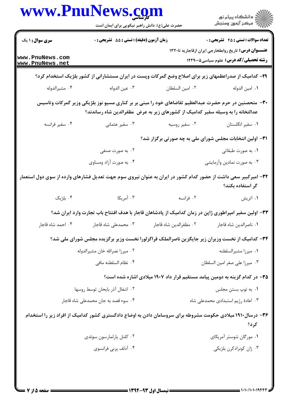|                                                                                                                | www.PnuNews.com<br>حضرت علی(ع): دانش راهبر نیکویی برای ایمان است |                                                                                                                                                                                          | ڪ دانشڪاه پيام نور<br>پ <sup>ر</sup> مرڪز آزمون وسنڊش                                                        |
|----------------------------------------------------------------------------------------------------------------|------------------------------------------------------------------|------------------------------------------------------------------------------------------------------------------------------------------------------------------------------------------|--------------------------------------------------------------------------------------------------------------|
| <b>سری سوال : ۱ یک</b>                                                                                         | زمان آزمون (دقیقه) : تستی : 55 آتشریحی : 0                       |                                                                                                                                                                                          | <b>تعداد سوالات : تستی : 45 گشریحی : 0</b>                                                                   |
| www.PnuNews.com<br>www.PnuNews.net                                                                             |                                                                  |                                                                                                                                                                                          | <b>عنـــوان درس:</b> تاریخ روابطخارجی ایران ازقاجاریه تا۱۳۲۰<br><b>رشته تحصیلی/کد درس:</b> علوم سیاسی۱۲۲۹۰۰۵ |
|                                                                                                                |                                                                  | ۲۹- کدامیک از صدراعظمهای زیر برای اصلاح وضع گمرکات وپست در ایران مستشارانی از کشور بلژیک استخدام کرد؟                                                                                    |                                                                                                              |
| ۰۴ مشيرالدوله                                                                                                  | ۰۳ عين الدوله                                                    | ٠٢ امين السلطان                                                                                                                                                                          | ٠١ امين الدوله                                                                                               |
|                                                                                                                |                                                                  | ۳۰– متحصنین در حرم حضرت عبدالعظیم تقاضاهای خود را مبنی بر بر کناری مسیو نوز بلژیکی وزیر گمرکات وتاسیس<br>عدالتخانه را به وسیله سفیر کدامیک از کشورهای زیر به عرض ًمظفرالدین شاه رساندند؟ |                                                                                                              |
| ۰۴ سفیر فرانسه                                                                                                 | ۰۳ سفیر عثمانی                                                   | ۰۲ سفیر روسیه                                                                                                                                                                            | ٠١ سفير انگلستان                                                                                             |
|                                                                                                                | ۳۱- اولین انتخابات مجلس شورای ملی به چه صورتی برگزار شد؟         |                                                                                                                                                                                          |                                                                                                              |
|                                                                                                                | ۰۲ به صورت صنفی                                                  |                                                                                                                                                                                          | ۰۱ به صورت طبقاتی                                                                                            |
|                                                                                                                | ۰۴ به صورت آزاد ومساوی                                           |                                                                                                                                                                                          | ۰۳ به صورت نمادین وأزمایشی                                                                                   |
| ۳۲– امیرکبیر سعی داشت از حضور کدام کشور در ایران به عنوان نیروی سوم جهت تعدیل فشارهای وارده از سوی دول استعمار |                                                                  |                                                                                                                                                                                          | گر استفاده بکند؟                                                                                             |
| ۰۴ بلژیک                                                                                                       | ۰۳ آمریکا                                                        | ۰۲ فرانسه                                                                                                                                                                                | ۰۱ اتریش                                                                                                     |
|                                                                                                                |                                                                  | ۳۳– اولین سفیر امپراطوری ژاپن در زمان کدامیک از پادشاهان قاجار با هدف افتتاح باب تجارت وارد ایران شد؟                                                                                    |                                                                                                              |
|                                                                                                                |                                                                  |                                                                                                                                                                                          |                                                                                                              |
|                                                                                                                |                                                                  | ۳۴- کدامیک از نخست وزیران زیر جایگزین ناصرالملک قراگزلورا نخست وزیر برگزیده مجلس شورای ملی شد؟                                                                                           |                                                                                                              |
|                                                                                                                | ٠٢ ميرزا نصرالله خان مشيرالدوله                                  |                                                                                                                                                                                          | ۰۱ میرزا مشیرالسلطنه                                                                                         |
|                                                                                                                | ۰۴ نظام السلطنه مافى                                             |                                                                                                                                                                                          | ٠٣ ميرزا على صغر امين السلطان                                                                                |
|                                                                                                                |                                                                  | ۳۵– در کدام گزینه به دومین پیامد مستقیم قرار داد ۱۹۰۷ میلادی اشاره شده است؟                                                                                                              |                                                                                                              |
|                                                                                                                | ٠٢ اشغال آذر بايحان توسط روسها                                   |                                                                                                                                                                                          | ۰۱ به توپ بستن مجلس                                                                                          |
|                                                                                                                | ۰۴ سوء قصد به جان محمدعلی شاه قاجار                              |                                                                                                                                                                                          | ۰۳ اعادهٔ رژیم استبدادی محمدعلی شاه                                                                          |
|                                                                                                                |                                                                  | ۳۶– درسال۱۹۱۰ میلادی حکومت مشروطه برای سروسامان دادن به اوضاع دادگستری کشور کدامیک از افراد زیر را استخدام                                                                               | کر د؟                                                                                                        |
|                                                                                                                | ۰۲ کلنل يارلمارسون سوئدي                                         |                                                                                                                                                                                          | ۰۱ مورگان شوستر آمریکای                                                                                      |
|                                                                                                                |                                                                  |                                                                                                                                                                                          |                                                                                                              |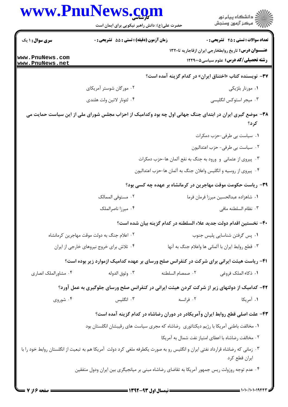|                                    | www.PnuNews.com<br>حضرت علی(ع): دانش راهبر نیکویی برای ایمان است                                                              |                                                                     | ڪ دانشڪاه پيا <sub>م</sub> نور<br>ر <i>7</i> مرڪز آزمون وسنڊش                                                 |
|------------------------------------|-------------------------------------------------------------------------------------------------------------------------------|---------------------------------------------------------------------|---------------------------------------------------------------------------------------------------------------|
| <b>سری سوال : ۱ یک</b>             | <b>زمان آزمون (دقیقه) : تستی : 55 تشریحی : 0</b>                                                                              |                                                                     | <b>تعداد سوالات : تستی : 45 - تشریحی : 0</b>                                                                  |
| www.PnuNews.com<br>www.PnuNews.net |                                                                                                                               |                                                                     | <b>عنــــوان درس:</b> تاریخ روابطخارجی ایران ازقاجاریه تا۱۳۲۰<br><b>رشته تحصیلی/کد درس:</b> علوم سیاسی1۲۲۹۰۰۵ |
|                                    |                                                                                                                               |                                                                     | ۳۷- نویسنده کتاب «اختناق ایران» در کدام گزینه آمده است؟                                                       |
|                                    | ۰۲ مورگان شوستر آمریکای                                                                                                       |                                                                     | ۰۱ مورنار بلژیکی                                                                                              |
|                                    | ۰۴ لئونار لاتين ولت هلندى                                                                                                     |                                                                     | ۰۳ میجر استوکس انگلیسی                                                                                        |
|                                    | ۳۸- موضع گیری ایران در ابتدای جنگ جهانی اول چه بود وکدامیک از احزاب مجلس شورای ملی از این سیاست حمایت می                      |                                                                     |                                                                                                               |
|                                    |                                                                                                                               |                                                                     | کر د؟                                                                                                         |
|                                    |                                                                                                                               |                                                                     | ۰۱ سیاست بی طرفی-حزب دمکرات                                                                                   |
|                                    |                                                                                                                               |                                                                     | ٢. سياست بي طرفي- حزب اعتداليون                                                                               |
|                                    |                                                                                                                               | ۰۳ پیروی از عثمانی و ورود به جنگ به نفع آلمان ها-حزب دمکرات         |                                                                                                               |
|                                    |                                                                                                                               | ۰۴ پیروی از روسیه و انگلیس واعلان جنگ به آلمان ها-حزب اعتدالیون     |                                                                                                               |
|                                    |                                                                                                                               |                                                                     | ۳۹- ریاست حکومت موقت مهاجرین در کرمانشاه بر عهده چه کسی بود؟                                                  |
|                                    | ۰۲ مستوفى الممالک                                                                                                             |                                                                     | ٠١. شاهزاده عبدالحسين ميرزا فرمان فرما                                                                        |
|                                    | ۰۴ میرزا ناصرالملک                                                                                                            |                                                                     | ٠٣ نظام السلطنه مافى                                                                                          |
|                                    |                                                                                                                               | ۴۰– نخستین اقدام دولت جدید علاء السلطنه در کدام گزینه بیان شده است؟ |                                                                                                               |
|                                    | ۰۲ اعلام جنگ به دولت موقت مهاجرین کرمانشاه                                                                                    |                                                                     | ٠١ پس گرفتن شناسايي پليس جنوب                                                                                 |
|                                    | ۰۴ تلاش برای خروج نیروهای خارجی از ایران                                                                                      |                                                                     | ۰۳ قطع روابط ايران با آلماني ها واعلام جنگ به آنها                                                            |
|                                    | ۴۱- ریاست هیئت ایرانی برای شرکت در کنفرانس صلح ورسای بر عهده کدامیک ازموارد زیر بوده است؟                                     |                                                                     |                                                                                                               |
| ۰۴ مشاورالملک انصاری               | ۰۳ وثوق الدوله                                                                                                                | ٠٢ صمصام السلطنه                                                    | ٠١. ذكاء الملك فروغي                                                                                          |
|                                    | ۴۲- کدامیک از دولتهای زیر از شرکت کردن هیئت ایرانی در کنفرانس صلح ورسای جلوگیری به عمل آورد؟                                  |                                                                     |                                                                                                               |
| ۰۴ شوروی                           | ۰۳ انگلیس                                                                                                                     | ۰۲ فرانسه                                                           | ۱. آمریکا                                                                                                     |
|                                    |                                                                                                                               |                                                                     | ۴۳– علت اصلی قطع روابط ایران وآمریکادر در دوران رضاشاه در کدام گزینه آمده است؟                                |
|                                    | ۰۱ مخالفت باطنی آمریکا با رژیم دیکتاتوری ِ رضاشاه که مجری سیاست های رقیبشان انگلستان بود                                      |                                                                     |                                                                                                               |
|                                    |                                                                                                                               |                                                                     | ۰۲ مخالفت رضاشاه با اعطای امتیاز نفت شمال به آمریکا                                                           |
|                                    | ۰۳ زمانی که رضاشاه قرارداد نفتی ایران و انگلیس رو به صورت یکطرفه ملغی کرد دولت آمریکا هم به تبعیت از انگلستان روابط خود را با |                                                                     | ايران قطع كرد                                                                                                 |
|                                    | ۰۴ عدم توجه روزولت ریس جمهور آمریکا به تقاضای رضاشاه مبنی بر میانجیگری بین ایران ودول متفقین                                  |                                                                     |                                                                                                               |
|                                    |                                                                                                                               |                                                                     |                                                                                                               |